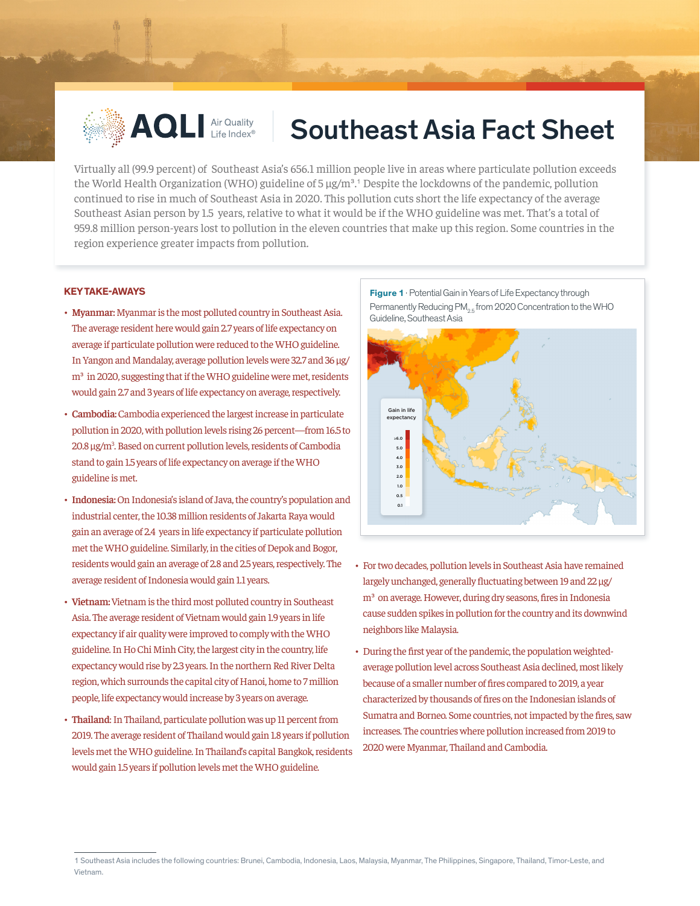

## **AQLI Air Quality Southeast Asia Fact Sheet**

Virtually all (99.9 percent) of Southeast Asia's 656.1 million people live in areas where particulate pollution exceeds the World Health Organization (WHO) guideline of  $5 \mu g/m<sup>3</sup>$ .<sup>1</sup> Despite the lockdowns of the pandemic, pollution continued to rise in much of Southeast Asia in 2020. This pollution cuts short the life expectancy of the average Southeast Asian person by 1.5 years, relative to what it would be if the WHO guideline was met. That's a total of 959.8 million person-years lost to pollution in the eleven countries that make up this region. Some countries in the region experience greater impacts from pollution.

## **KEY TAKE-AWAYS**

- **• Myanmar:** Myanmar is the most polluted country in Southeast Asia. The average resident here would gain 2.7 years of life expectancy on average if particulate pollution were reduced to the WHO guideline. In Yangon and Mandalay, average pollution levels were 32.7 and 36 µg/ m<sup>3</sup> in 2020, suggesting that if the WHO guideline were met, residents would gain 2.7 and 3 years of life expectancy on average, respectively.
- **• Cambodia:** Cambodia experienced the largest increase in particulate pollution in 2020, with pollution levels rising 26 percent—from 16.5 to 20.8 µg/m<sup>3</sup>. Based on current pollution levels, residents of Cambodia stand to gain 1.5 years of life expectancy on average if the WHO guideline is met.
- **• Indonesia:** On Indonesia's island of Java, the country's population and industrial center, the 10.38 million residents of Jakarta Raya would gain an average of 2.4 years in life expectancy if particulate pollution met the WHO guideline. Similarly, in the cities of Depok and Bogor, residents would gain an average of 2.8 and 2.5 years, respectively. The average resident of Indonesia would gain 1.1 years.
- **• Vietnam:** Vietnam is the third most polluted country in Southeast Asia. The average resident of Vietnam would gain 1.9 years in life expectancy if air quality were improved to comply with the WHO guideline. In Ho Chi Minh City, the largest city in the country, life expectancy would rise by 2.3 years. In the northern Red River Delta region, which surrounds the capital city of Hanoi, home to 7 million people, life expectancy would increase by 3 years on average.
- **• Thailand**: In Thailand, particulate pollution was up 11 percent from 2019. The average resident of Thailand would gain 1.8 years if pollution levels met the WHO guideline. In Thailand's capital Bangkok, residents would gain 1.5 years if pollution levels met the WHO guideline.

**Figure 1** · Potential Gain in Years of Life Expectancy through Permanently Reducing PM<sub>os</sub> from 2020 Concentration to the WHO Guideline, Southeast Asia



- For two decades, pollution levels in Southeast Asia have remained largely unchanged, generally fluctuating between 19 and 22 µg/ m<sup>3</sup> on average. However, during dry seasons, fires in Indonesia cause sudden spikes in pollution for the country and its downwind neighbors like Malaysia.
- During the first year of the pandemic, the population weightedaverage pollution level across Southeast Asia declined, most likely because of a smaller number of fires compared to 2019, a year characterized by thousands of fires on the Indonesian islands of Sumatra and Borneo. Some countries, not impacted by the fires, saw increases. The countries where pollution increased from 2019 to 2020 were Myanmar, Thailand and Cambodia.

<sup>1</sup> Southeast Asia includes the following countries: Brunei, Cambodia, Indonesia, Laos, Malaysia, Myanmar, The Philippines, Singapore, Thailand, Timor-Leste, and Vietnam.